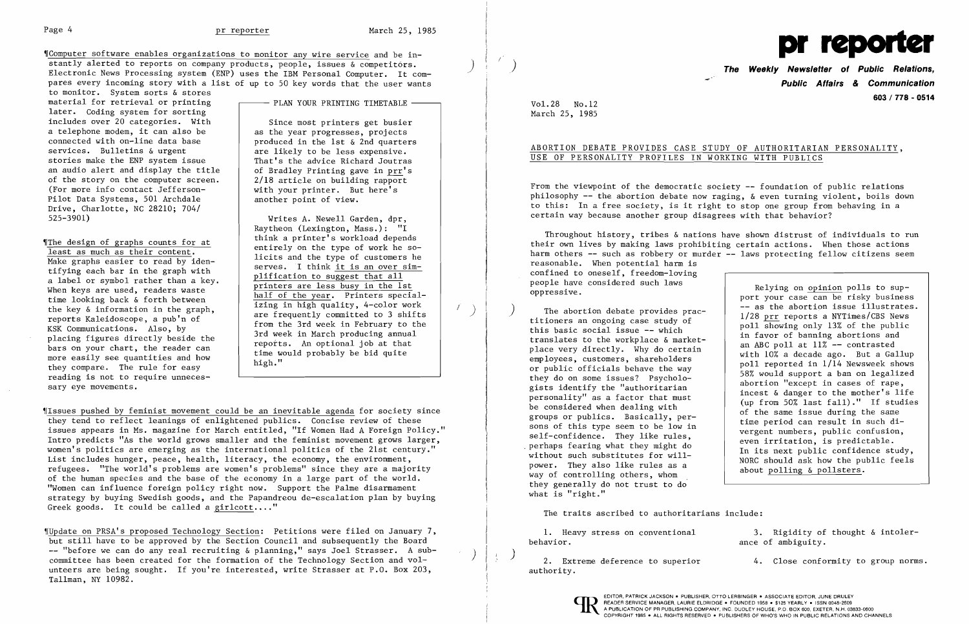The Software enables organizations to monitor any wire service and be instantly alerted to reports on company products, people, issues & competitors. Electronic News Processing system (ENP) uses the IBM Personal Computer. It compares every incoming story with a list of up to 50 key words that the user wants

to monitor. System sorts & stores material for retrieval or printing later. Coding system for sorting includes over 20 categories. With a telephone modem, it can also be connected with on-line data base services. Bulletins & urgent stories make the ENP system issue an audio alert and display the title of the story on the computer screen. (For more info contact Jefferson-Pilot Data Systems, 501 Archdale Drive, Charlotte, NC 28210; 704/ 525-3901)

'[The design of graphs counts for at least as much as their content. Make graphs easier to read by identifying each bar in the graph with a label or symbol rather than a key. When keys are used, readers waste time looking back & forth between the key & information in the graph, reports Kaleidoscope, a pub'n of KSK Communications. Also, by placing figures directly beside the bars on your chart, the reader can more easily see quantities and how they compare. The rule for easy reading is not to require unnecessary eye movements.

PLAN YOUR PRINTING TIMETABLE -

Since most printers get busier as the year progresses, projects produced in the 1st & 2nd quarters are likely to be less expensive. That's the advice Richard Joutras of Bradley Printing gave in prr's 2/18 article on building rapport with your printer. But here's another point of view.

Writes A. Newell Garden, dpr, Raytheon (Lexington, Mass.): "I think a printer's workload depends entirely on the type of work he solicits and the type of customers he serves. I think it is an over simplification to suggest that all printers are less busy in the 1st half of the year. Printers specializing in high quality, 4-color work are frequently committed to 3 shifts from the 3rd week in February to the 3rd week in March producing annual reports. An optional job at that time would probably be bid quite high."

Issues pushed by feminist movement could be an inevitable agenda for society since they tend to reflect leanings of enlightened publics. Concise review of these issues appears in Ms. magazine for March entitled, "If Women Had A Foreign Policy." Intro predicts "As the world grows smaller and the feminist movement grows larger, women's politics are emerging as the international politics of the 21st century." List includes hunger, peace, health, literacy, the economy, the environment, refugees. "The world's problems are women's problems" since they are a majority of the human species and the base of the economy in a large part of the world. "Women can influence foreign policy right now. Support the Palme disarmament strategy by buying Swedish goods, and the Papandreou de-escalation plan by buying Greek goods. It could be called a girlcott...."

)

/ )

Throughout history, tribes  $\&$  nations have shown distrust of individuals to run their own lives by making laws prohibiting certain actions. When those actions harm others -- such as robbery or murder -- laws protecting fellow citizens seem reasonable. When potential harm is confined to oneself, freedom-loving people have considered such laws oppressive. Relying on opinion polls to sup-

'IUpdate on PRSA's proposed Technology Section: Petitions were filed on January 7, but still have to be approved by the Section Council and subsequently the Board -- "before we can do any real recruiting & planning," says Joel Strasser. A subcommittee has been created for the formation of the Technology Section and volunteers are being sought. If you're interested, write Strasser at P.O. Box 203, Tallman, NY 10982.

) **The Weekly Newsletter of Public Relations, Public Affairs** *&* **Communication 603 / 778 - 0514** 

Vol. 28 No. 12 March 25, 1985

ABORTION DEBATE PROVIDES CASE STUDY OF AUTHORITARIAN PERSONALITY,

# USE OF PERSONALITY PROFILES IN WORKING WITH PUBLICS

From the viewpoint of the democratic society -- foundation of public relations philosophy -- the abortion debate now raging, & even turning violent, boils down to this: In a free society, is it right to stop one group from behaving in a certain way because another group disagrees with that behavior?

) The abortion debate provides practitioners an ongoing case study of this basic social issue -- which translates to the workplace & marketplace very directly. Why do certain employees, customers, shareholders or public officials behave the way they do on some issues? Psychologists identify the "authoritarian personality" as a factor that must be considered when dealing with groups or publics. Basically, persons of this type seem to be low in self-confidence. They like rules, . perhaps fearing what they might do without such substitutes for willpower. They also like rules as a way of controlling others, whom they generally do not trust to do what is "right."

port your case can be risky business -- as the abortion issue illustrates. 1/28 prr reports a NYTimes/CBS News poll showing only 13% of the public in favor of banning abortions and an ABC poll at 11% -- contrasted with 10% a decade ago. But a Gallup poll reported in 1/14 Newsweek shows 58% would support a ban on legalized abortion "except in cases of rape, incest & danger to the mother's life (up from 50% last fall)." If studies of the same issue during the same time period can result in such divergent numbers, public confusion, even irritation, is predictable . In its next public confidence study, NORC should ask how the public feels about polling & pollsters.

1. Heavy stress on conventional 3. Rigidity of thought & intoler-<br>behavior. <br> ance of ambiguity. ance of ambiguity.

 $\frac{1}{2}$  2. Extreme deference to superior  $\frac{1}{2}$  4. Close conformity to group norms.

The traits ascribed to authoritarians include:

authority.